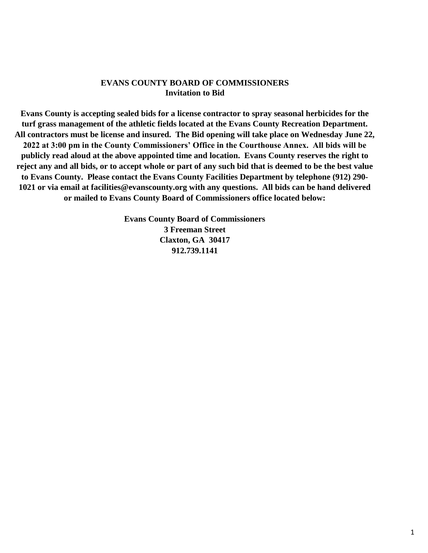#### **EVANS COUNTY BOARD OF COMMISSIONERS Invitation to Bid**

**Evans County is accepting sealed bids for a license contractor to spray seasonal herbicides for the turf grass management of the athletic fields located at the Evans County Recreation Department. All contractors must be license and insured. The Bid opening will take place on Wednesday June 22, 2022 at 3:00 pm in the County Commissioners' Office in the Courthouse Annex. All bids will be publicly read aloud at the above appointed time and location. Evans County reserves the right to reject any and all bids, or to accept whole or part of any such bid that is deemed to be the best value to Evans County. Please contact the Evans County Facilities Department by telephone (912) 290- 1021 or via email at facilities@evanscounty.org with any questions. All bids can be hand delivered or mailed to Evans County Board of Commissioners office located below:** 

> **Evans County Board of Commissioners 3 Freeman Street Claxton, GA 30417 912.739.1141**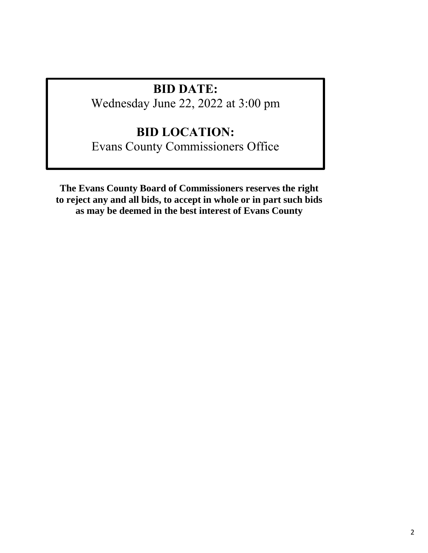# **BID DATE:**

Wednesday June 22, 2022 at 3:00 pm

# **BID LOCATION:**

Evans County Commissioners Office

**The Evans County Board of Commissioners reserves the right to reject any and all bids, to accept in whole or in part such bids as may be deemed in the best interest of Evans County**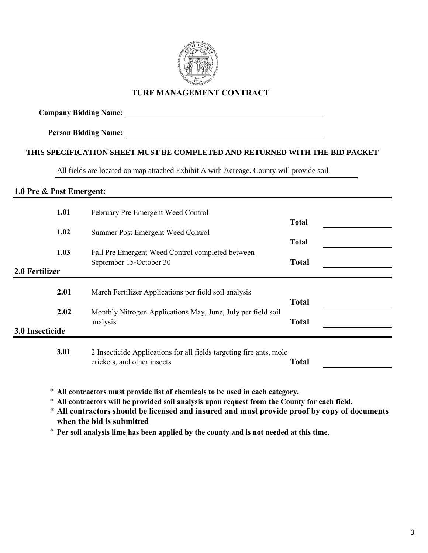

### **TURF MANAGEMENT CONTRACT**

## **Company Bidding Name:**

**Person Bidding Name:**

### **THIS SPECIFICATION SHEET MUST BE COMPLETED AND RETURNED WITH THE BID PACKET**

All fields are located on map attached Exhibit A with Acreage. County will provide soil

#### **1.0 Pre & Post Emergent:**

\* **All contractors must provide list of chemicals to be used in each category.**

\* **All contractors will be provided soil analysis upon request from the County for each field.**

\* **All contractors should be licensed and insured and must provide proof by copy of documents when the bid is submitted** 

\* **Per soil analysis lime has been applied by the county and is not needed at this time.**